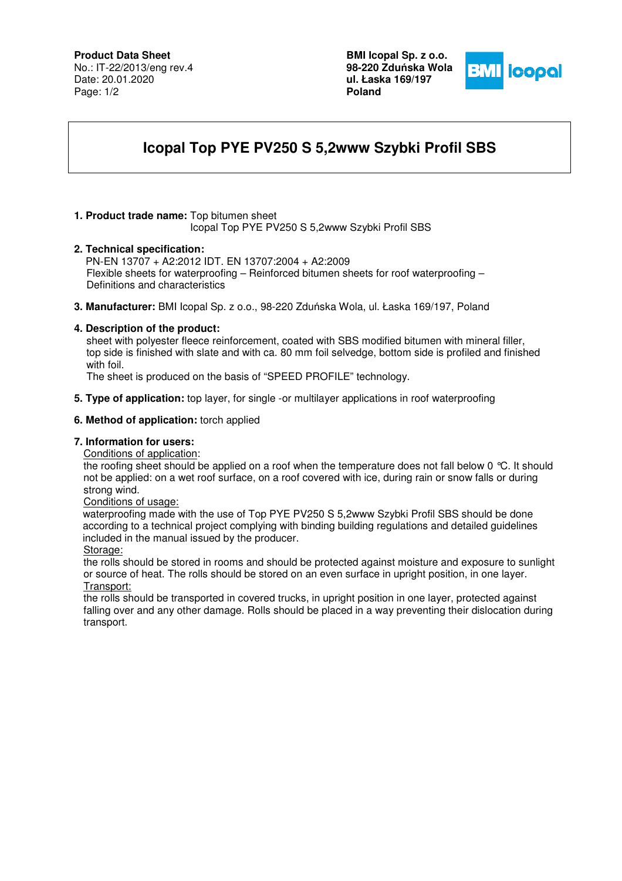## **Product Data Sheet**

No.: IT-22/2013/eng rev.4 Date: 20.01.2020 Page: 1/2

**BMI Icopal Sp. z o.o. 98-220 Zdu**ń**ska Wola ul. Łaska 169/197 Poland** 



# **Icopal Top PYE PV250 S 5,2www Szybki Profil SBS**

## **1. Product trade name:** Top bitumen sheet

Icopal Top PYE PV250 S 5,2www Szybki Profil SBS

### **2. Technical specification:**

PN-EN 13707 + A2:2012 IDT. EN 13707:2004 + A2:2009 Flexible sheets for waterproofing – Reinforced bitumen sheets for roof waterproofing – Definitions and characteristics

**3. Manufacturer:** BMI Icopal Sp. z o.o., 98-220 Zduńska Wola, ul. Łaska 169/197, Poland

## **4. Description of the product:**

 sheet with polyester fleece reinforcement, coated with SBS modified bitumen with mineral filler, top side is finished with slate and with ca. 80 mm foil selvedge, bottom side is profiled and finished with foil.

The sheet is produced on the basis of "SPEED PROFILE" technology.

**5. Type of application:** top layer, for single -or multilayer applications in roof waterproofing

### **6. Method of application:** torch applied

## **7. Information for users:**

Conditions of application:

the roofing sheet should be applied on a roof when the temperature does not fall below 0 °C. It should not be applied: on a wet roof surface, on a roof covered with ice, during rain or snow falls or during strong wind.

### Conditions of usage:

 waterproofing made with the use of Top PYE PV250 S 5,2www Szybki Profil SBS should be done according to a technical project complying with binding building regulations and detailed guidelines included in the manual issued by the producer.

#### Storage:

the rolls should be stored in rooms and should be protected against moisture and exposure to sunlight or source of heat. The rolls should be stored on an even surface in upright position, in one layer. Transport:

the rolls should be transported in covered trucks, in upright position in one layer, protected against falling over and any other damage. Rolls should be placed in a way preventing their dislocation during transport.